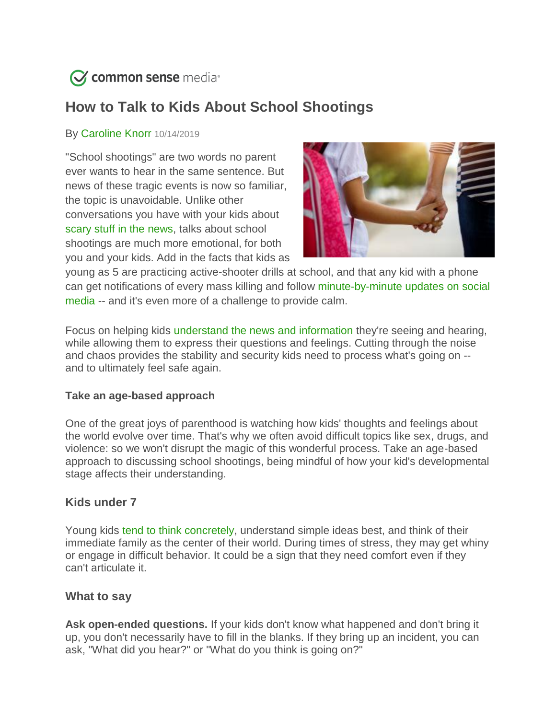

# **How to Talk to Kids About School Shootings**

## By [Caroline Knorr](https://www.commonsensemedia.org/users/caroline-knorr/bio) 10/14/2019

"School shootings" are two words no parent ever wants to hear in the same sentence. But news of these tragic events is now so familiar, the topic is unavoidable. Unlike other conversations you have with your kids about [scary stuff in the news,](https://www.commonsensemedia.org/blog/how-to-talk-to-kids-about-violence-crime-and-war) talks about school shootings are much more emotional, for both you and your kids. Add in the facts that kids as



young as 5 are practicing active-shooter drills at school, and that any kid with a phone can get notifications of every mass killing and follow [minute-by-minute updates on social](https://www.commonsensemedia.org/blog/teaching-kids-media-smarts-during-breaking-news)  [media](https://www.commonsensemedia.org/blog/teaching-kids-media-smarts-during-breaking-news) -- and it's even more of a challenge to provide calm.

Focus on helping kids [understand the news and information](https://www.commonsensemedia.org/blog/explaining-the-news-to-our-kids) they're seeing and hearing, while allowing them to express their questions and feelings. Cutting through the noise and chaos provides the stability and security kids need to process what's going on - and to ultimately feel safe again.

#### **Take an age-based approach**

One of the great joys of parenthood is watching how kids' thoughts and feelings about the world evolve over time. That's why we often avoid difficult topics like sex, drugs, and violence: so we won't disrupt the magic of this wonderful process. Take an age-based approach to discussing school shootings, being mindful of how your kid's developmental stage affects their understanding.

## **Kids under 7**

Young kids [tend to think concretely,](https://www.commonsensemedia.org/about-us/our-mission/about-our-ratings/5-7) understand simple ideas best, and think of their immediate family as the center of their world. During times of stress, they may get whiny or engage in difficult behavior. It could be a sign that they need comfort even if they can't articulate it.

#### **What to say**

**Ask open-ended questions.** If your kids don't know what happened and don't bring it up, you don't necessarily have to fill in the blanks. If they bring up an incident, you can ask, "What did you hear?" or "What do you think is going on?"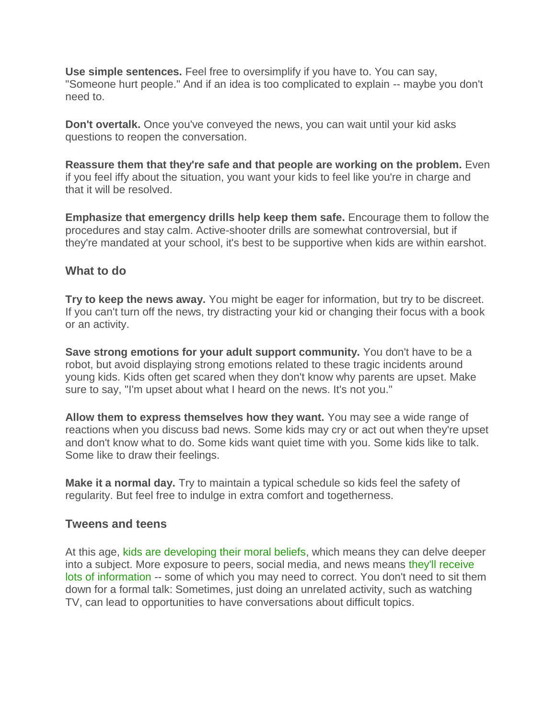**Use simple sentences.** Feel free to oversimplify if you have to. You can say, "Someone hurt people." And if an idea is too complicated to explain -- maybe you don't need to.

**Don't overtalk.** Once you've conveyed the news, you can wait until your kid asks questions to reopen the conversation.

**Reassure them that they're safe and that people are working on the problem.** Even if you feel iffy about the situation, you want your kids to feel like you're in charge and that it will be resolved.

**Emphasize that emergency drills help keep them safe.** Encourage them to follow the procedures and stay calm. Active-shooter drills are somewhat controversial, but if they're mandated at your school, it's best to be supportive when kids are within earshot.

## **What to do**

**Try to keep the news away.** You might be eager for information, but try to be discreet. If you can't turn off the news, try distracting your kid or changing their focus with a book or an activity.

**Save strong emotions for your adult support community.** You don't have to be a robot, but avoid displaying strong emotions related to these tragic incidents around young kids. Kids often get scared when they don't know why parents are upset. Make sure to say, "I'm upset about what I heard on the news. It's not you."

**Allow them to express themselves how they want.** You may see a wide range of reactions when you discuss bad news. Some kids may cry or act out when they're upset and don't know what to do. Some kids want quiet time with you. Some kids like to talk. Some like to draw their feelings.

**Make it a normal day.** Try to maintain a typical schedule so kids feel the safety of regularity. But feel free to indulge in extra comfort and togetherness.

## **Tweens and teens**

At this age, [kids are developing their moral beliefs,](https://www.commonsensemedia.org/about-us/our-mission/about-our-ratings/8-9) which means they can delve deeper into a subject. More exposure to peers, social media, and news means [they'll receive](https://www.commonsensemedia.org/blog/our-new-research-shows-where-kids-get-their-news-and-how-they-feel-about-it)  [lots of information](https://www.commonsensemedia.org/blog/our-new-research-shows-where-kids-get-their-news-and-how-they-feel-about-it) -- some of which you may need to correct. You don't need to sit them down for a formal talk: Sometimes, just doing an unrelated activity, such as watching TV, can lead to opportunities to have conversations about difficult topics.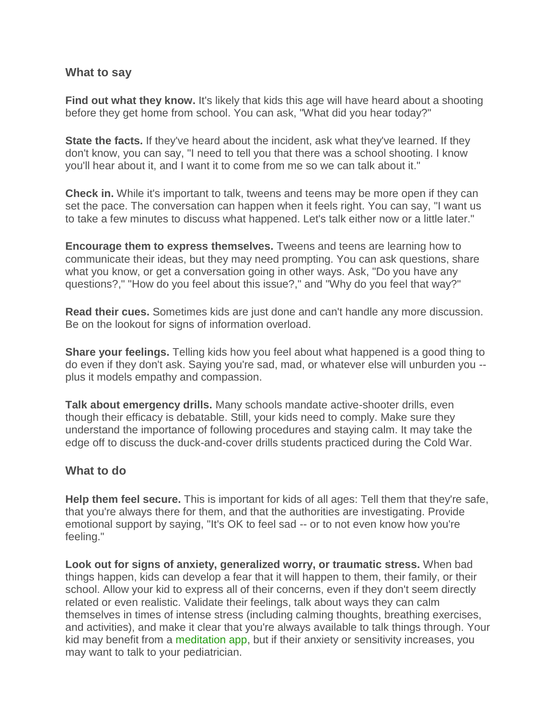#### **What to say**

**Find out what they know.** It's likely that kids this age will have heard about a shooting before they get home from school. You can ask, "What did you hear today?"

**State the facts.** If they've heard about the incident, ask what they've learned. If they don't know, you can say, "I need to tell you that there was a school shooting. I know you'll hear about it, and I want it to come from me so we can talk about it."

**Check in.** While it's important to talk, tweens and teens may be more open if they can set the pace. The conversation can happen when it feels right. You can say, "I want us to take a few minutes to discuss what happened. Let's talk either now or a little later."

**Encourage them to express themselves.** Tweens and teens are learning how to communicate their ideas, but they may need prompting. You can ask questions, share what you know, or get a conversation going in other ways. Ask, "Do you have any questions?," "How do you feel about this issue?," and "Why do you feel that way?"

**Read their cues.** Sometimes kids are just done and can't handle any more discussion. Be on the lookout for signs of information overload.

**Share your feelings.** Telling kids how you feel about what happened is a good thing to do even if they don't ask. Saying you're sad, mad, or whatever else will unburden you - plus it models empathy and compassion.

**Talk about emergency drills.** Many schools mandate active-shooter drills, even though their efficacy is debatable. Still, your kids need to comply. Make sure they understand the importance of following procedures and staying calm. It may take the edge off to discuss the duck-and-cover drills students practiced during the Cold War.

#### **What to do**

**Help them feel secure.** This is important for kids of all ages: Tell them that they're safe, that you're always there for them, and that the authorities are investigating. Provide emotional support by saying, "It's OK to feel sad -- or to not even know how you're feeling."

**Look out for signs of anxiety, generalized worry, or traumatic stress.** When bad things happen, kids can develop a fear that it will happen to them, their family, or their school. Allow your kid to express all of their concerns, even if they don't seem directly related or even realistic. Validate their feelings, talk about ways they can calm themselves in times of intense stress (including calming thoughts, breathing exercises, and activities), and make it clear that you're always available to talk things through. Your kid may benefit from a [meditation app,](https://www.commonsensemedia.org/lists/meditation-apps-for-kids) but if their anxiety or sensitivity increases, you may want to talk to your pediatrician.